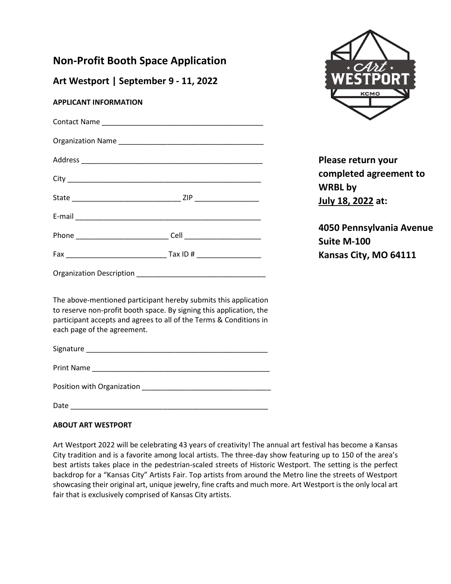## **Non-Profit Booth Space Application**

**Art Westport | September 9 - 11, 2022**

## **APPLICANT INFORMATION**

| Organization Description _______ |  |
|----------------------------------|--|

The above-mentioned participant hereby submits this application to reserve non-profit booth space. By signing this application, the participant accepts and agrees to all of the Terms & Conditions in each page of the agreement.

Signature \_\_\_\_\_\_\_\_\_\_\_\_\_\_\_\_\_\_\_\_\_\_\_\_\_\_\_\_\_\_\_\_\_\_\_\_\_\_\_\_\_\_\_\_\_

Print Name \_\_\_\_\_\_\_\_\_\_\_\_\_\_\_\_\_\_\_\_\_\_\_\_\_\_\_\_\_\_\_\_\_\_\_\_\_\_\_\_\_\_\_\_

Position with Organization **DESIMING TO A READ POSITION** 

Date \_\_\_\_\_\_\_\_\_\_\_\_\_\_\_\_\_\_\_\_\_\_\_\_\_\_\_\_\_\_\_\_\_\_\_\_\_\_\_\_\_\_\_\_\_\_\_\_\_

## **ABOUT ART WESTPORT**

Art Westport 2022 will be celebrating 43 years of creativity! The annual art festival has become a Kansas City tradition and is a favorite among local artists. The three-day show featuring up to 150 of the area's best artists takes place in the pedestrian-scaled streets of Historic Westport. The setting is the perfect backdrop for a "Kansas City" Artists Fair. Top artists from around the Metro line the streets of Westport showcasing their original art, unique jewelry, fine crafts and much more. Art Westport is the only local art fair that is exclusively comprised of Kansas City artists.



**Please return your completed agreement to WRBL by July 18, 2022 at:**

**4050 Pennsylvania Avenue Suite M-100 Kansas City, MO 64111**